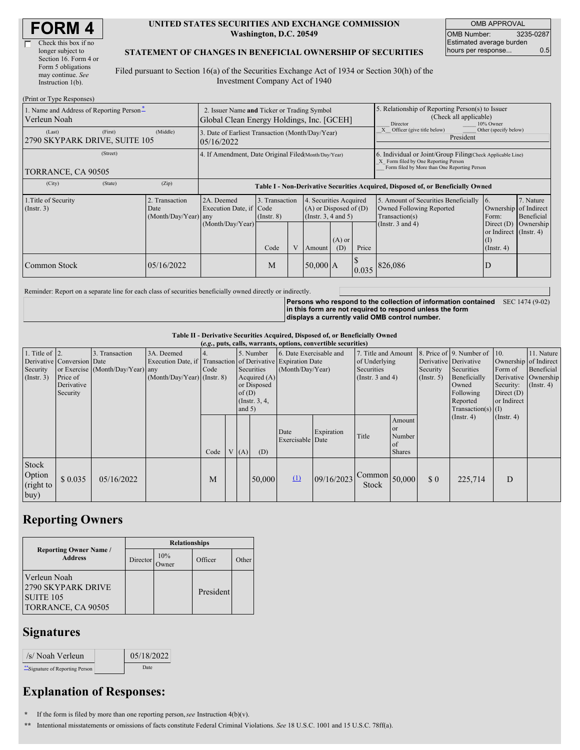| <b>FORM4</b> |
|--------------|
|--------------|

г

| Check this box if no  |
|-----------------------|
| longer subject to     |
| Section 16. Form 4 or |
| Form 5 obligations    |
| may continue. See     |
| Instruction 1(b).     |
|                       |

#### **UNITED STATES SECURITIES AND EXCHANGE COMMISSION Washington, D.C. 20549**

OMB APPROVAL OMB Number: 3235-0287 Estimated average burden hours per response... 0.5

### **STATEMENT OF CHANGES IN BENEFICIAL OWNERSHIP OF SECURITIES**

Filed pursuant to Section 16(a) of the Securities Exchange Act of 1934 or Section 30(h) of the Investment Company Act of 1940

| (Print or Type Responses)                                                             |                                                                                          |                                                                                  |                                                            |  |            |                                                                                                                        |                                                                                                                                                    |                                                                                                             |                                                                                                         |                                      |
|---------------------------------------------------------------------------------------|------------------------------------------------------------------------------------------|----------------------------------------------------------------------------------|------------------------------------------------------------|--|------------|------------------------------------------------------------------------------------------------------------------------|----------------------------------------------------------------------------------------------------------------------------------------------------|-------------------------------------------------------------------------------------------------------------|---------------------------------------------------------------------------------------------------------|--------------------------------------|
| 1. Name and Address of Reporting Person-<br>Verleun Noah                              | 2. Issuer Name and Ticker or Trading Symbol<br>Global Clean Energy Holdings, Inc. [GCEH] |                                                                                  |                                                            |  |            | 5. Relationship of Reporting Person(s) to Issuer<br>(Check all applicable)<br>Director<br>10% Owner                    |                                                                                                                                                    |                                                                                                             |                                                                                                         |                                      |
| (First)<br>(Last)<br>2790 SKYPARK DRIVE, SUITE 105                                    | (Middle)                                                                                 | 3. Date of Earliest Transaction (Month/Day/Year)<br>05/16/2022                   |                                                            |  |            |                                                                                                                        |                                                                                                                                                    | X Officer (give title below)<br>Other (specify below)<br>President                                          |                                                                                                         |                                      |
| (Street)<br>TORRANCE, CA 90505                                                        | 4. If Amendment, Date Original Filed(Month/Day/Year)                                     |                                                                                  |                                                            |  |            |                                                                                                                        | 6. Individual or Joint/Group Filing(Check Applicable Line)<br>X Form filed by One Reporting Person<br>Form filed by More than One Reporting Person |                                                                                                             |                                                                                                         |                                      |
| (State)<br>(City)                                                                     | (Zip)                                                                                    | Table I - Non-Derivative Securities Acquired, Disposed of, or Beneficially Owned |                                                            |  |            |                                                                                                                        |                                                                                                                                                    |                                                                                                             |                                                                                                         |                                      |
| 1. Title of Security<br>2. Transaction<br>(Insert. 3)<br>Date<br>(Month/Day/Year) any |                                                                                          | 2A. Deemed<br>Execution Date, if Code<br>(Month/Day/Year)                        | 3. Transaction<br>$($ Instr. 8 $)$<br>$\mathbf{V}$<br>Code |  |            | 4. Securities Acquired<br>$(A)$ or Disposed of $(D)$<br>(Instr. $3, 4$ and $5$ )<br>$(A)$ or<br>Price<br>(D)<br>Amount |                                                                                                                                                    | 5. Amount of Securities Beneficially<br>Owned Following Reported<br>Transaction(s)<br>(Instr. $3$ and $4$ ) | 16.<br>Ownership of Indirect<br>Form:<br>Direct $(D)$<br>or Indirect (Instr. 4)<br>(I)<br>$($ Instr. 4) | 7. Nature<br>Beneficial<br>Ownership |
| Common Stock                                                                          | 05/16/2022                                                                               |                                                                                  | M                                                          |  | $50,000$ A |                                                                                                                        | 0.035                                                                                                                                              | 826,086                                                                                                     | D                                                                                                       |                                      |

Reminder: Report on a separate line for each class of securities beneficially owned directly or indirectly.

**Persons who respond to the collection of information contained in this form are not required to respond unless the form displays a currently valid OMB control number.** SEC 1474 (9-02)

#### **Table II - Derivative Securities Acquired, Disposed of, or Beneficially Owned**

| (e.g., puts, calls, warrants, options, convertible securities) |                                    |                                                    |                                                                            |            |  |                         |                                                                         |                                             |            |                                                    |                                                 |                                   |                                                                        |                                          |                                                   |
|----------------------------------------------------------------|------------------------------------|----------------------------------------------------|----------------------------------------------------------------------------|------------|--|-------------------------|-------------------------------------------------------------------------|---------------------------------------------|------------|----------------------------------------------------|-------------------------------------------------|-----------------------------------|------------------------------------------------------------------------|------------------------------------------|---------------------------------------------------|
| 1. Title of $ 2$ .<br>Security                                 | Derivative Conversion Date         | 3. Transaction<br>or Exercise (Month/Day/Year) any | 3A. Deemed<br>Execution Date, if Transaction of Derivative Expiration Date | 4.<br>Code |  | 5. Number<br>Securities |                                                                         | 6. Date Exercisable and<br>(Month/Day/Year) |            | 7. Title and Amount<br>of Underlying<br>Securities |                                                 | Derivative Derivative<br>Security | 8. Price of 9. Number of<br>Securities                                 | $\vert$ 10.<br>Form of                   | 11. Nature<br>Ownership of Indirect<br>Beneficial |
| $($ Instr. 3 $)$                                               | Price of<br>Derivative<br>Security |                                                    | $(Month/Day/Year)$ (Instr. 8)                                              |            |  |                         | Acquired (A)<br>or Disposed<br>of $(D)$<br>$($ Instr. 3, 4,<br>and $5)$ |                                             |            | (Instr. $3$ and $4$ )                              |                                                 | $($ Instr. 5 $)$                  | Beneficially<br>Owned<br>Following<br>Reported<br>$Transaction(s)$ (I) | Security:<br>Direct $(D)$<br>or Indirect | Derivative   Ownership<br>$($ Instr. 4 $)$        |
|                                                                |                                    |                                                    |                                                                            | Code       |  | V(A)                    | (D)                                                                     | Date<br>Exercisable Date                    | Expiration | Title                                              | Amount<br>l or<br>Number<br>of<br><b>Shares</b> |                                   | $($ Instr. 4 $)$                                                       | $($ Instr. 4 $)$                         |                                                   |
| Stock<br>Option<br>(right to<br>buy)                           | \$0.035                            | 05/16/2022                                         |                                                                            | M          |  |                         | 50,000                                                                  | $\Omega$                                    | 09/16/2023 | $\sim$ Common $\mid$ 50,000<br>Stock               |                                                 | $\Omega$                          | 225,714                                                                | D                                        |                                                   |

### **Reporting Owners**

|                                                                              | <b>Relationships</b> |             |           |       |  |  |  |  |  |
|------------------------------------------------------------------------------|----------------------|-------------|-----------|-------|--|--|--|--|--|
| <b>Reporting Owner Name /</b><br><b>Address</b>                              | Director             | 10%<br>wner | Officer   | Other |  |  |  |  |  |
| Verleun Noah<br>2790 SKYPARK DRIVE<br><b>SUITE 105</b><br>TORRANCE, CA 90505 |                      |             | President |       |  |  |  |  |  |

## **Signatures**

| /s/ Noah Verleun                | 05/18/2022 |  |
|---------------------------------|------------|--|
| "Signature of Reporting Person" | Date       |  |

# **Explanation of Responses:**

**\*** If the form is filed by more than one reporting person,*see* Instruction 4(b)(v).

**\*\*** Intentional misstatements or omissions of facts constitute Federal Criminal Violations. *See* 18 U.S.C. 1001 and 15 U.S.C. 78ff(a).